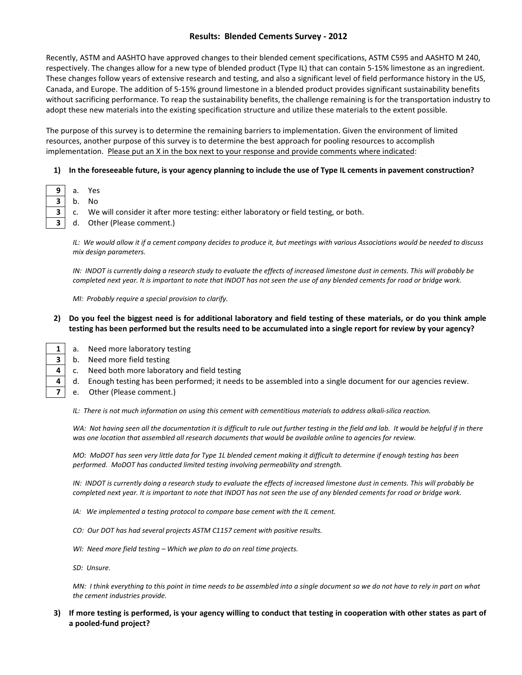# **Results: Blended Cements Survey - 2012**

Recently, ASTM and AASHTO have approved changes to their blended cement specifications, ASTM C595 and AASHTO M 240, respectively. The changes allow for a new type of blended product (Type IL) that can contain 5-15% limestone as an ingredient. These changes follow years of extensive research and testing, and also a significant level of field performance history in the US, Canada, and Europe. The addition of 5-15% ground limestone in a blended product provides significant sustainability benefits without sacrificing performance. To reap the sustainability benefits, the challenge remaining is for the transportation industry to adopt these new materials into the existing specification structure and utilize these materials to the extent possible.

The purpose of this survey is to determine the remaining barriers to implementation. Given the environment of limited resources, another purpose of this survey is to determine the best approach for pooling resources to accomplish implementation. Please put an X in the box next to your response and provide comments where indicated:

#### **1) In the foreseeable future, is your agency planning to include the use of Type IL cements in pavement construction?**

- **9** a. Yes
	- **3** b. No
	- **3** c. We will consider it after more testing: either laboratory or field testing, or both.
	- **3** d. Other (Please comment.)

*IL: We would allow it if a cement company decides to produce it, but meetings with various Associations would be needed to discuss mix design parameters.*

*IN: INDOT is currently doing a research study to evaluate the effects of increased limestone dust in cements. This will probably be completed next year. It is important to note that INDOT has not seen the use of any blended cements for road or bridge work.*

*MI: Probably require a special provision to clarify.*

#### **2) Do you feel the biggest need is for additional laboratory and field testing of these materials, or do you think ample testing has been performed but the results need to be accumulated into a single report for review by your agency?**

- 
- 1 a. Need more laboratory testing
	- **3** b. Need more field testing
	- **4 c.** Need both more laboratory and field testing
	- **4** d. Enough testing has been performed; it needs to be assembled into a single document for our agencies review.
	- **7** e. Other (Please comment.)

*IL: There is not much information on using this cement with cementitious materials to address alkali-silica reaction.*

WA: Not having seen all the documentation it is difficult to rule out further testing in the field and lab. It would be helpful if in there *was one location that assembled all research documents that would be available online to agencies for review.* 

*MO: MoDOT has seen very little data for Type 1L blended cement making it difficult to determine if enough testing has been performed. MoDOT has conducted limited testing involving permeability and strength.*

*IN: INDOT is currently doing a research study to evaluate the effects of increased limestone dust in cements. This will probably be completed next year. It is important to note that INDOT has not seen the use of any blended cements for road or bridge work.*

- *IA: We implemented a testing protocol to compare base cement with the IL cement.*
- *CO: Our DOT has had several projects ASTM C1157 cement with positive results.*
- *WI: Need more field testing – Which we plan to do on real time projects.*
- *SD: Unsure.*

*MN: I think everything to this point in time needs to be assembled into a single document so we do not have to rely in part on what the cement industries provide.*

**3) If more testing is performed, is your agency willing to conduct that testing in cooperation with other states as part of a pooled-fund project?**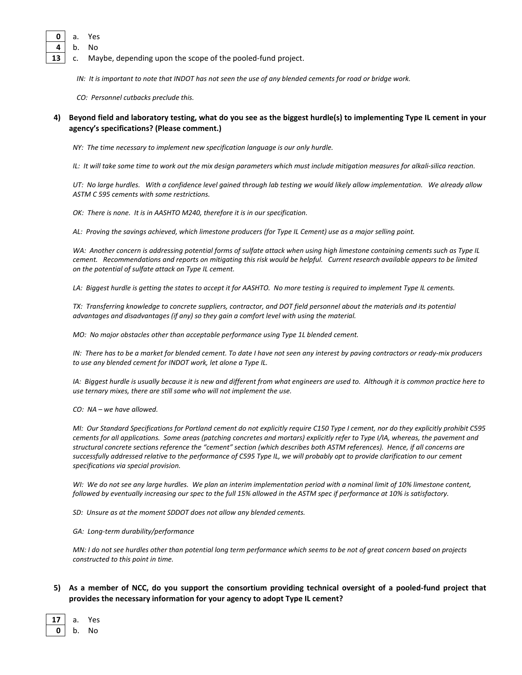- **0** a. Yes
- **4** b. No
- **13** c. Maybe, depending upon the scope of the pooled-fund project.
	- *IN: It is important to note that INDOT has not seen the use of any blended cements for road or bridge work.*
	- *CO: Personnel cutbacks preclude this.*

### **4) Beyond field and laboratory testing, what do you see as the biggest hurdle(s) to implementing Type IL cement in your agency's specifications? (Please comment.)**

*NY: The time necessary to implement new specification language is our only hurdle.*

*IL: It will take some time to work out the mix design parameters which must include mitigation measures for alkali-silica reaction.*

*UT: No large hurdles. With a confidence level gained through lab testing we would likely allow implementation. We already allow ASTM C 595 cements with some restrictions.*

*OK: There is none. It is in AASHTO M240, therefore it is in our specification.*

*AL: Proving the savings achieved, which limestone producers (for Type IL Cement) use as a major selling point.*

*WA: Another concern is addressing potential forms of sulfate attack when using high limestone containing cements such as Type IL cement. Recommendations and reports on mitigating this risk would be helpful. Current research available appears to be limited on the potential of sulfate attack on Type IL cement.* 

*LA: Biggest hurdle is getting the states to accept it for AASHTO. No more testing is required to implement Type IL cements.* 

*TX: Transferring knowledge to concrete suppliers, contractor, and DOT field personnel about the materials and its potential advantages and disadvantages (if any) so they gain a comfort level with using the material.* 

*MO: No major obstacles other than acceptable performance using Type 1L blended cement.*

*IN: There has to be a market for blended cement. To date I have not seen any interest by paving contractors or ready-mix producers to use any blended cement for INDOT work, let alone a Type IL.*

*IA: Biggest hurdle is usually because it is new and different from what engineers are used to. Although it is common practice here to use ternary mixes, there are still some who will not implement the use.*

*CO: NA – we have allowed.*

*MI: Our Standard Specifications for Portland cement do not explicitly require C150 Type I cement, nor do they explicitly prohibit C595 cements for all applications. Some areas (patching concretes and mortars) explicitly refer to Type I/IA, whereas, the pavement and structural concrete sections reference the "cement" section (which describes both ASTM references). Hence, if all concerns are successfully addressed relative to the performance of C595 Type IL, we will probably opt to provide clarification to our cement specifications via special provision.*

WI: We do not see any large hurdles. We plan an interim implementation period with a nominal limit of 10% limestone content, *followed by eventually increasing our spec to the full 15% allowed in the ASTM spec if performance at 10% is satisfactory.*

*SD: Unsure as at the moment SDDOT does not allow any blended cements.* 

*GA: Long-term durability/performance*

*MN: I do not see hurdles other than potential long term performance which seems to be not of great concern based on projects constructed to this point in time.*

## **5) As a member of NCC, do you support the consortium providing technical oversight of a pooled-fund project that provides the necessary information for your agency to adopt Type IL cement?**

- **17** a. Yes
- **0** b. No